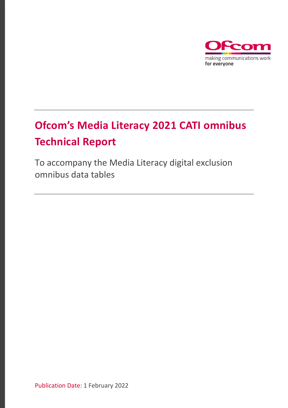

# **Ofcom's Media Literacy 2021 CATI omnibus Technical Report**

To accompany the Media Literacy digital exclusion omnibus data tables

Publication Date: 1 February 2022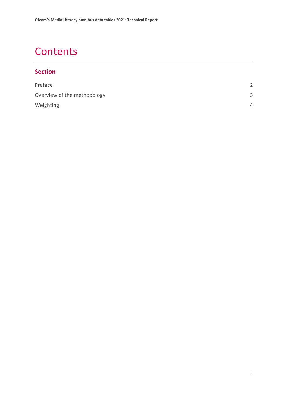### **Contents**

#### **Section**

| Preface                     |              |
|-----------------------------|--------------|
| Overview of the methodology | $\mathbf{R}$ |
| Weighting                   | 4            |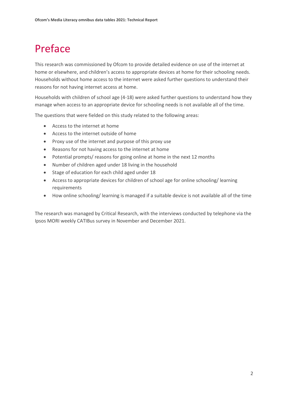### <span id="page-2-0"></span>Preface

This research was commissioned by Ofcom to provide detailed evidence on use of the internet at home or elsewhere, and children's access to appropriate devices at home for their schooling needs. Households without home access to the internet were asked further questions to understand their reasons for not having internet access at home.

Households with children of school age (4-18) were asked further questions to understand how they manage when access to an appropriate device for schooling needs is not available all of the time.

The questions that were fielded on this study related to the following areas:

- Access to the internet at home
- Access to the internet outside of home
- Proxy use of the internet and purpose of this proxy use
- Reasons for not having access to the internet at home
- Potential prompts/ reasons for going online at home in the next 12 months
- Number of children aged under 18 living in the household
- Stage of education for each child aged under 18
- Access to appropriate devices for children of school age for online schooling/ learning requirements
- How online schooling/ learning is managed if a suitable device is not available all of the time

The research was managed by Critical Research, with the interviews conducted by telephone via the Ipsos MORI weekly CATIBus survey in November and December 2021.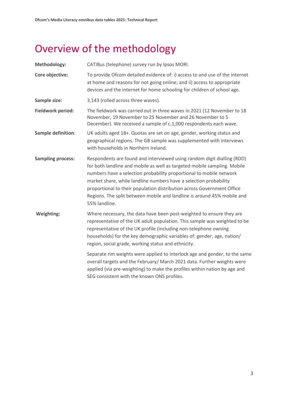## <span id="page-3-0"></span>Overview of the methodology

| <b>Methodology:</b>      | CATIBus (telephone) survey run by Ipsos MORI.                                                                                                                                                                                                                                                                                                                                                                                                                         |
|--------------------------|-----------------------------------------------------------------------------------------------------------------------------------------------------------------------------------------------------------------------------------------------------------------------------------------------------------------------------------------------------------------------------------------------------------------------------------------------------------------------|
| Core objective:          | To provide Ofcom detailed evidence of: i) access to and use of the internet<br>at home and reasons for not going online; and ii) access to appropriate<br>devices and the internet for home schooling for children of school age.                                                                                                                                                                                                                                     |
| Sample size:             | 3,143 (rolled across three waves).                                                                                                                                                                                                                                                                                                                                                                                                                                    |
| Fieldwork period:        | The fieldwork was carried out in three waves in 2021 (12 November to 18<br>November, 19 November to 25 November and 26 November to 5<br>December). We received a sample of c.1,000 respondents each wave.                                                                                                                                                                                                                                                             |
| Sample definition:       | UK adults aged 18+. Quotas are set on age, gender, working status and<br>geographical regions. The GB sample was supplemented with interviews<br>with households in Northern Ireland.                                                                                                                                                                                                                                                                                 |
| <b>Sampling process:</b> | Respondents are found and interviewed using random digit dialling (RDD)<br>for both landline and mobile as well as targeted mobile sampling. Mobile<br>numbers have a selection probability proportional to mobile network<br>market share, while landline numbers have a selection probability<br>proportional to their population distribution across Government Office<br>Regions. The split between mobile and landline is around 45% mobile and<br>55% landline. |
| Weighting:               | Where necessary, the data have been post-weighted to ensure they are<br>representative of the UK adult population. This sample was weighted to be<br>representative of the UK profile (including non-telephone owning<br>households) for the key demographic variables of: gender, age, nation/<br>region, social grade, working status and ethnicity.                                                                                                                |
|                          | Separate rim weights were applied to interlock age and gender, to the same<br>overall targets and the February/ March 2021 data. Further weights were<br>applied (via pre-weighting) to make the profiles within nation by age and<br>SEG consistent with the known ONS profiles.                                                                                                                                                                                     |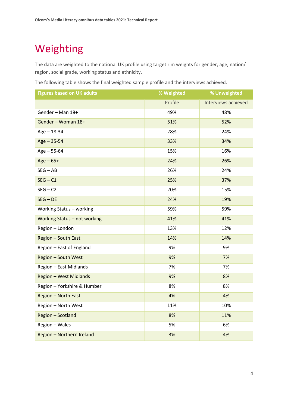### <span id="page-4-0"></span>Weighting

The data are weighted to the national UK profile using target rim weights for gender, age, nation/ region, social grade, working status and ethnicity.

The following table shows the final weighted sample profile and the interviews achieved.

| <b>Figures based on UK adults</b> | % Weighted | % Unweighted        |
|-----------------------------------|------------|---------------------|
|                                   | Profile    | Interviews achieved |
| Gender - Man 18+                  | 49%        | 48%                 |
| Gender - Woman 18+                | 51%        | 52%                 |
| $Age - 18-34$                     | 28%        | 24%                 |
| $Age - 35-54$                     | 33%        | 34%                 |
| $Age - 55-64$                     | 15%        | 16%                 |
| $Age - 65+$                       | 24%        | 26%                 |
| $SEG - AB$                        | 26%        | 24%                 |
| $SEG - C1$                        | 25%        | 37%                 |
| $SEG - C2$                        | 20%        | 15%                 |
| $SEG - DE$                        | 24%        | 19%                 |
| Working Status - working          | 59%        | 59%                 |
| Working Status - not working      | 41%        | 41%                 |
| Region - London                   | 13%        | 12%                 |
| <b>Region - South East</b>        | 14%        | 14%                 |
| Region - East of England          | 9%         | 9%                  |
| <b>Region - South West</b>        | 9%         | 7%                  |
| Region - East Midlands            | 7%         | 7%                  |
| <b>Region - West Midlands</b>     | 9%         | 8%                  |
| Region - Yorkshire & Humber       | 8%         | 8%                  |
| Region - North East               | 4%         | 4%                  |
| Region - North West               | 11%        | 10%                 |
| Region - Scotland                 | 8%         | 11%                 |
| Region - Wales                    | 5%         | 6%                  |
| Region - Northern Ireland         | 3%         | 4%                  |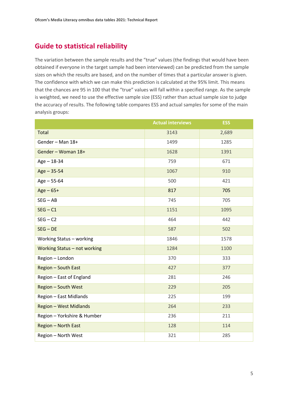#### **Guide to statistical reliability**

The variation between the sample results and the "true" values (the findings that would have been obtained if everyone in the target sample had been interviewed) can be predicted from the sample sizes on which the results are based, and on the number of times that a particular answer is given. The confidence with which we can make this prediction is calculated at the 95% limit. This means that the chances are 95 in 100 that the "true" values will fall within a specified range. As the sample is weighted, we need to use the effective sample size (ESS) rather than actual sample size to judge the accuracy of results. The following table compares ESS and actual samples for some of the main analysis groups:

|                               | <b>Actual interviews</b> | <b>ESS</b> |
|-------------------------------|--------------------------|------------|
| Total                         | 3143                     | 2,689      |
| Gender - Man 18+              | 1499                     | 1285       |
| Gender - Woman 18+            | 1628                     | 1391       |
| $Age - 18-34$                 | 759                      | 671        |
| $Age - 35-54$                 | 1067                     | 910        |
| $Age - 55-64$                 | 500                      | 421        |
| $Age - 65 +$                  | 817                      | 705        |
| $SEG - AB$                    | 745                      | 705        |
| $SEG - C1$                    | 1151                     | 1095       |
| $SEG - C2$                    | 464                      | 442        |
| $SEG - DE$                    | 587                      | 502        |
| Working Status - working      | 1846                     | 1578       |
| Working Status - not working  | 1284                     | 1100       |
| Region - London               | 370                      | 333        |
| Region - South East           | 427                      | 377        |
| Region - East of England      | 281                      | 246        |
| <b>Region - South West</b>    | 229                      | 205        |
| Region - East Midlands        | 225                      | 199        |
| <b>Region - West Midlands</b> | 264                      | 233        |
| Region - Yorkshire & Humber   | 236                      | 211        |
| Region - North East           | 128                      | 114        |
| Region - North West           | 321                      | 285        |